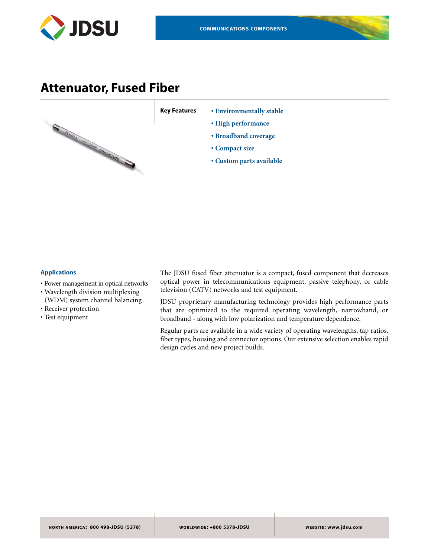

### **Attenuator, Fused Fiber**



**Key Features • Environmentally stable** 

- **High performance**
- **Broadband coverage**
- **Compact size**
- **Custom parts available**

#### **Applications**

- Power management in optical networks
- Wavelength division multiplexing (WDM) system channel balancing
- Receiver protection
- Test equipment

The JDSU fused fiber attenuator is a compact, fused component that decreases optical power in telecommunications equipment, passive telephony, or cable television (CATV) networks and test equipment.

JDSU proprietary manufacturing technology provides high performance parts that are optimized to the required operating wavelength, narrowband, or broadband - along with low polarization and temperature dependence.

Regular parts are available in a wide variety of operating wavelengths, tap ratios, fiber types, housing and connector options. Our extensive selection enables rapid design cycles and new project builds.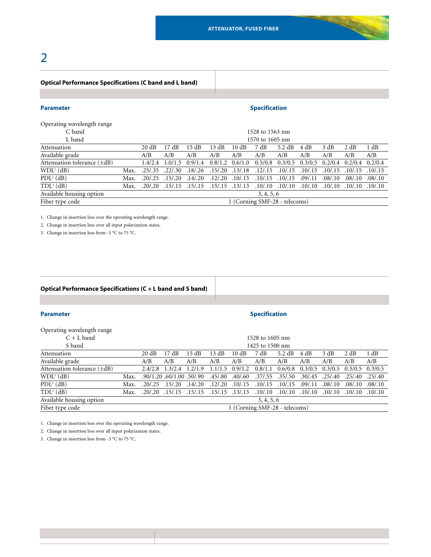## 2

#### **Optical Performance Specifications (C band and L band)**

#### **Parameter Specification**

Operating wavelength range

| C band                           |                               | 1528 to 1563 nm |                   |                                 |                               |      |                     |                                                   |          |                                 |                     |          |
|----------------------------------|-------------------------------|-----------------|-------------------|---------------------------------|-------------------------------|------|---------------------|---------------------------------------------------|----------|---------------------------------|---------------------|----------|
| L band                           |                               | 1570 to 1605 nm |                   |                                 |                               |      |                     |                                                   |          |                                 |                     |          |
| Attenuation                      |                               | 20 dB           | 17 dB             | 15 dB                           | 13 dB                         | 10dB | 7 dB                | 5.2 dB                                            | 4 dB     | 3 dB                            | 2 dB                | 1 dB     |
| Available grade                  |                               | A/B             | A/B               | A/B                             | A/B                           | A/B  | A/B                 | A/B                                               | A/B      | A/B                             | A/B                 | A/B      |
| Attenuation tolerance $(\pm dB)$ |                               | 1.4/2.4         | $1.0/1.5$ 0.9/1.4 |                                 | $0.8/1.2$ $0.6/1.0$           |      | 0.5/0.8             | $0.3/0.5$ $0.3/0.5$ $0.2/0.4$ $0.2/0.4$ $0.2/0.4$ |          |                                 |                     |          |
| WDL <sup>1</sup> (dB)            | Max.                          | .25/0.35        | .22/0.30          |                                 | $.18/.26$ $.15/.20$ $.13/.18$ |      | .12/0.15            | .10/0.15                                          | .10/0.15 |                                 | $.10/.15$ $.10/.15$ | .10/0.15 |
| $PDL2$ (dB)                      | Max.                          | .20/0.25        | .15/0.20          | .14/.20                         | $.12/.20$ $.10/.15$           |      |                     | $.10/.15$ $.10/.15$                               | .09/.11  |                                 | $.08/.10$ $.08/.10$ | .08/.10  |
| $TDL3$ (dB)                      | Max.                          | .20/0.20        |                   | .15/.15 .15/.15 .15/.15 .15/.13 |                               |      | $.10/.10$ $.10/.10$ |                                                   |          | .10/.10 .10/.10 .10/.10 .10/.10 |                     |          |
| Available housing option         | 3, 4, 5, 6                    |                 |                   |                                 |                               |      |                     |                                                   |          |                                 |                     |          |
| Fiber type code                  | 1 (Corning SMF-28 - telecoms) |                 |                   |                                 |                               |      |                     |                                                   |          |                                 |                     |          |

1. Change in insertion loss over the operating wavelength range.

2. Change in insertion loss over all input polarization states.

3. Change in insertion loss from -5 °C to 75 °C.

#### **Optical Performance Specifications (C + L band and S band)**

|  |  | Parameter |  |
|--|--|-----------|--|
|  |  |           |  |
|  |  |           |  |
|  |  |           |  |

#### **Specification**

| Operating wavelength range       |      |                               |                           |                                 |                 |                   |                     |                  |                         |                               |         |          |
|----------------------------------|------|-------------------------------|---------------------------|---------------------------------|-----------------|-------------------|---------------------|------------------|-------------------------|-------------------------------|---------|----------|
| $C + L$ band                     |      | 1528 to 1605 nm               |                           |                                 |                 |                   |                     |                  |                         |                               |         |          |
| S band                           |      |                               |                           |                                 |                 |                   | 1425 to 1500 nm     |                  |                         |                               |         |          |
| Attenuation                      |      | 20 dB                         | 17 dB                     | 15 dB                           | 13 dB           | 10 dB             | 7 dB                | $5.2 \text{ dB}$ | 4 dB                    | 3 dB                          | 2 dB    | 1 dB     |
| Available grade                  |      | A/B                           | A/B                       | A/B                             | A/B             | A/B               | A/B                 | A/B              | A/B                     | A/B                           | A/B     | A/B      |
| Attenuation tolerance $(\pm dB)$ |      | 2.4/2.8                       | 1.3/2.4                   | 1.2/1.9                         |                 | $1.1/1.5$ 0.9/1.2 | 0.8/1.1             | 0.6/0.8          |                         | $0.3/0.5$ $0.3/0.5$ $0.3/0.5$ |         | 0.3/0.5  |
| WDL <sup>1</sup> (dB)            | Max. |                               | .90/1.20 .60/1.00 .50/.90 |                                 | .45/.80 .40/.60 |                   | .37/.55 .35/.50     |                  | .30/.45                 | .25/.40                       | .25/.40 | .25/0.40 |
| $PDL2$ (dB)                      | Max. | .20/0.25                      | .15/0.20                  | .14/.20                         | .12/.20         | .10/.15           | .10/0.15            | .10/0.15         | .09/0.11                | .08/.10                       | .08/.10 | .08/.10  |
| $TDL3$ (dB)                      | Max. | .20/0.20                      |                           | .15/.15 .15/.15 .15/.15 .15/.13 |                 |                   | $.10/.10$ $.10/.10$ |                  | .10/.10 .10/.10 .10/.10 |                               |         | .10/0.10 |
| Available housing option         |      |                               |                           |                                 |                 |                   | 3, 4, 5, 6          |                  |                         |                               |         |          |
| Fiber type code                  |      | 1 (Corning SMF-28 - telecoms) |                           |                                 |                 |                   |                     |                  |                         |                               |         |          |

1. Change in insertion loss over the operating wavelength range.

2. Change in insertion loss over all input polarization states.

3. Change in insertion loss from -5 °C to 75 °C.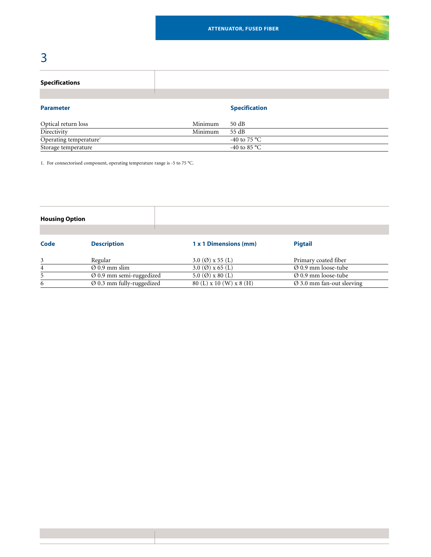# 3

#### **Specifications**

| <b>Parameter</b>                   |         | <b>Specification</b>   |
|------------------------------------|---------|------------------------|
| Optical return loss                | Minimum | 50 dB                  |
| Directivity                        | Minimum | 55 dB                  |
| Operating temperature <sup>1</sup> |         | -40 to 75 °C           |
| Storage temperature                |         | -40 to 85 $^{\circ}$ C |

1. For connectorised component, operating temperature range is -5 to 75 °C.

| <b>Housing Option</b> |                                       |                                |                                       |
|-----------------------|---------------------------------------|--------------------------------|---------------------------------------|
| Code                  | <b>Description</b>                    | 1 x 1 Dimensions (mm)          | <b>Pigtail</b>                        |
| 3                     | Regular                               | 3.0 ( $\varnothing$ ) x 55 (L) | Primary coated fiber                  |
| 4                     | $\varnothing$ 0.9 mm slim             | 3.0 ( $\varnothing$ ) x 65 (L) | $\varnothing$ 0.9 mm loose-tube       |
| 5                     | $\varnothing$ 0.9 mm semi-ruggedized  | 5.0 $(\emptyset)$ x 80 $(L)$   | $\varnothing$ 0.9 mm loose-tube       |
| 6                     | $\varnothing$ 0.3 mm fully-ruggedized | 80 (L) x 10 (W) x 8 (H)        | $\varnothing$ 3.0 mm fan-out sleeving |